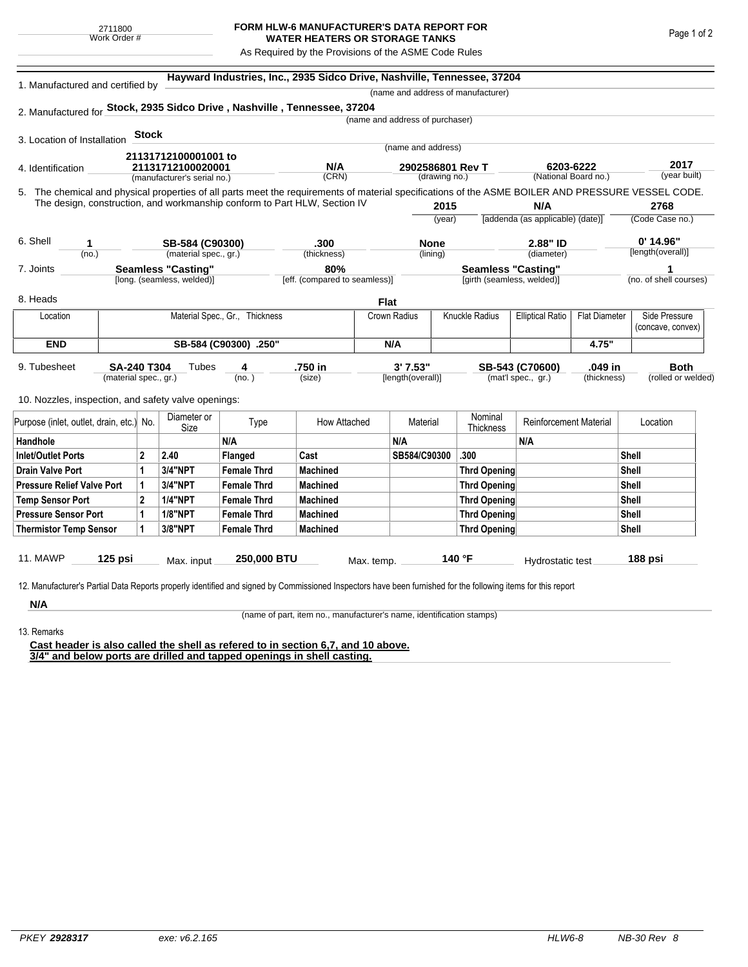## **FORM HLW-6 MANUFACTURER'S DATA REPORT FOR WATER HEATERS OR STORAGE TANKS**

As Required by the Provisions of the ASME Code Rules

| 1. Manufactured and certified by                                                                                                                   |                                    |                             |                                | Hayward Industries, Inc., 2935 Sidco Drive, Nashville, Tennessee, 37204 |              |                                 |        |                                           |                                  |                      |                                  |                        |  |
|----------------------------------------------------------------------------------------------------------------------------------------------------|------------------------------------|-----------------------------|--------------------------------|-------------------------------------------------------------------------|--------------|---------------------------------|--------|-------------------------------------------|----------------------------------|----------------------|----------------------------------|------------------------|--|
|                                                                                                                                                    |                                    |                             |                                |                                                                         |              |                                 |        | (name and address of manufacturer)        |                                  |                      |                                  |                        |  |
| 2. Manufactured for Stock, 2935 Sidco Drive, Nashville, Tennessee, 37204                                                                           |                                    |                             |                                |                                                                         |              |                                 |        |                                           |                                  |                      |                                  |                        |  |
|                                                                                                                                                    |                                    |                             |                                |                                                                         |              | (name and address of purchaser) |        |                                           |                                  |                      |                                  |                        |  |
| 3. Location of Installation                                                                                                                        | <b>Stock</b>                       |                             |                                |                                                                         |              |                                 |        |                                           |                                  |                      |                                  |                        |  |
|                                                                                                                                                    |                                    | 21131712100001001 to        |                                |                                                                         |              | (name and address)              |        |                                           |                                  |                      |                                  |                        |  |
| 21131712100020001<br>4. Identification                                                                                                             |                                    |                             |                                | N/A                                                                     |              | 2902586801 Rev T                |        |                                           | 6203-6222                        | 2017                 |                                  |                        |  |
|                                                                                                                                                    |                                    | (manufacturer's serial no.) |                                | (CRN)                                                                   |              | (drawing no.)                   |        |                                           | (National Board no.)             |                      |                                  | (year built)           |  |
| 5. The chemical and physical properties of all parts meet the requirements of material specifications of the ASME BOILER AND PRESSURE VESSEL CODE. |                                    |                             |                                |                                                                         |              |                                 |        |                                           |                                  |                      |                                  |                        |  |
| The design, construction, and workmanship conform to Part HLW, Section IV                                                                          |                                    |                             |                                |                                                                         |              | 2015                            |        | N/A                                       |                                  | 2768                 |                                  |                        |  |
|                                                                                                                                                    |                                    |                             |                                |                                                                         |              |                                 | (year) |                                           | [addenda (as applicable) (date)] |                      |                                  | (Code Case no.)        |  |
| 6. Shell<br>SB-584 (C90300)<br>1                                                                                                                   |                                    |                             |                                | .300<br>(thickness)                                                     |              | <b>None</b><br>(lining)         |        |                                           | 2.88" ID<br>(diameter)           |                      | $0'$ 14.96"<br>[length(overall)] |                        |  |
| (no.)                                                                                                                                              | (material spec., gr.)              |                             |                                |                                                                         |              |                                 |        |                                           |                                  |                      |                                  |                        |  |
| 7. Joints                                                                                                                                          | <b>Seamless "Casting"</b>          |                             |                                | 80%                                                                     |              |                                 |        | <b>Seamless "Casting"</b>                 |                                  |                      |                                  |                        |  |
|                                                                                                                                                    |                                    | [long. (seamless, welded)]  |                                | [eff. (compared to seamless)]                                           |              |                                 |        | [girth (seamless, welded)]                |                                  |                      |                                  | (no. of shell courses) |  |
| 8. Heads                                                                                                                                           |                                    |                             |                                |                                                                         | <b>Flat</b>  |                                 |        |                                           |                                  |                      |                                  |                        |  |
| Location                                                                                                                                           |                                    |                             | Material Spec., Gr., Thickness |                                                                         |              | Crown Radius                    |        | Knuckle Radius<br><b>Elliptical Ratio</b> |                                  | <b>Flat Diameter</b> | Side Pressure                    |                        |  |
|                                                                                                                                                    |                                    |                             |                                |                                                                         |              |                                 |        |                                           |                                  |                      | (concave, convex)                |                        |  |
| <b>END</b>                                                                                                                                         | SB-584 (C90300) .250"              |                             |                                |                                                                         | N/A          |                                 |        |                                           | 4.75"                            |                      |                                  |                        |  |
| 9. Tubesheet                                                                                                                                       |                                    | Tubes                       | 4                              | .750 in                                                                 |              | 3' 7.53"                        |        |                                           |                                  | .049 in              |                                  | Both                   |  |
| <b>SA-240 T304</b><br>(material spec., gr.)                                                                                                        |                                    |                             | (no. )                         | (size)                                                                  |              | [length(overall)]               |        | SB-543 (C70600)<br>(mat'l spec., gr.)     |                                  | (thickness)          |                                  | (rolled or welded)     |  |
|                                                                                                                                                    |                                    |                             |                                |                                                                         |              |                                 |        |                                           |                                  |                      |                                  |                        |  |
| 10. Nozzles, inspection, and safety valve openings:                                                                                                |                                    |                             |                                |                                                                         |              |                                 |        |                                           |                                  |                      |                                  |                        |  |
| Purpose (inlet, outlet, drain, etc.) No.                                                                                                           |                                    | Diameter or<br>Size         | Type                           | How Attached                                                            |              | Material                        |        | Nominal<br>Thickness                      | <b>Reinforcement Material</b>    |                      | Location                         |                        |  |
| Handhole                                                                                                                                           |                                    |                             | N/A                            |                                                                         |              | N/A                             |        |                                           | N/A                              |                      |                                  |                        |  |
| Inlet/Outlet Ports                                                                                                                                 | $\mathbf{2}$<br>2.40<br>Flanged    |                             | Cast                           |                                                                         | SB584/C90300 |                                 | .300   |                                           | <b>Shell</b>                     |                      |                                  |                        |  |
| Drain Valve Port                                                                                                                                   | 1<br>3/4"NPT<br><b>Female Thrd</b> |                             | <b>Machined</b>                |                                                                         |              |                                 |        | Thrd Opening                              |                                  | <b>Shell</b>         |                                  |                        |  |
| <b>Pressure Relief Valve Port</b>                                                                                                                  | 3/4"NPT<br>1<br><b>Female Thrd</b> |                             | <b>Machined</b>                |                                                                         |              |                                 |        | Thrd Opening                              |                                  |                      | Shell                            |                        |  |
| <b>Temp Sensor Port</b>                                                                                                                            |                                    | <b>1/4"NPT</b>              | <b>Female Thrd</b>             | <b>Machined</b>                                                         |              |                                 |        | Thrd Opening                              |                                  | Shell                |                                  |                        |  |
| <b>Pressure Sensor Port</b>                                                                                                                        | 1                                  | <b>1/8"NPT</b>              | <b>Female Thrd</b>             | <b>Machined</b>                                                         |              |                                 |        | Thrd Opening                              |                                  |                      |                                  | <b>Shell</b>           |  |
| <b>Thermistor Temp Sensor</b>                                                                                                                      | 1                                  | 3/8"NPT                     | <b>Female Thrd</b>             | <b>Machined</b>                                                         |              |                                 |        | Thrd Opening                              |                                  | Shell                |                                  |                        |  |
|                                                                                                                                                    |                                    |                             |                                |                                                                         |              |                                 |        |                                           |                                  |                      |                                  |                        |  |
| 11. MAWP<br>125 psi                                                                                                                                |                                    | Max. input                  | 250,000 BTU                    |                                                                         | Max. temp.   |                                 |        | 140 °F                                    | Hydrostatic test                 |                      |                                  | 188 psi                |  |

**N/A** 13. Remarks

(name of part, item no., manufacturer's name, identification stamps)

**Cast header is also called the shell as refered to in section 6,7, and 10 above. 3/4" and below ports are drilled and tapped openings in shell casting.**